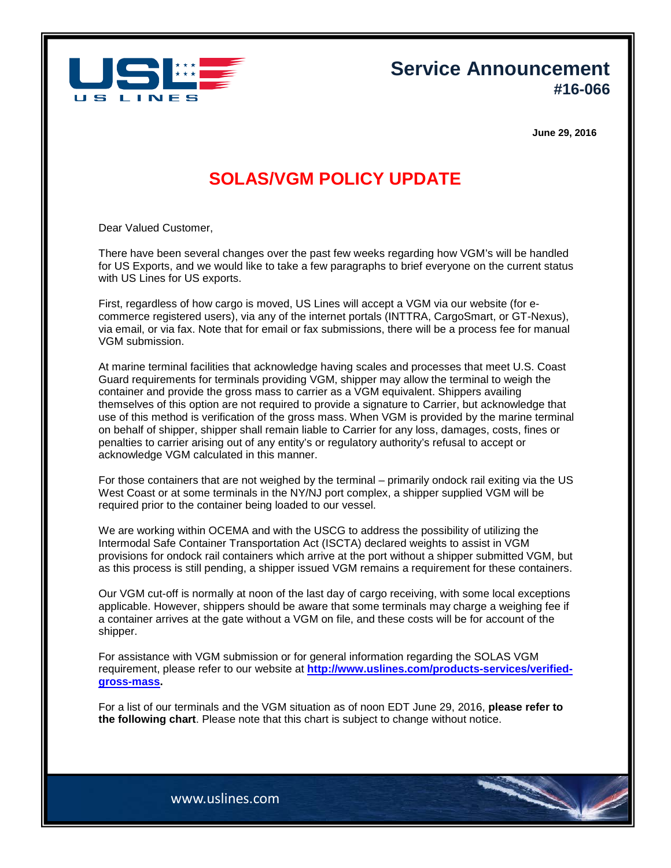

**Service Announcement #16-066**

**June 29, 2016**

## **SOLAS/VGM POLICY UPDATE**

Dear Valued Customer,

There have been several changes over the past few weeks regarding how VGM's will be handled for US Exports, and we would like to take a few paragraphs to brief everyone on the current status with US Lines for US exports.

First, regardless of how cargo is moved, US Lines will accept a VGM via our website (for ecommerce registered users), via any of the internet portals (INTTRA, CargoSmart, or GT-Nexus), via email, or via fax. Note that for email or fax submissions, there will be a process fee for manual VGM submission.

At marine terminal facilities that acknowledge having scales and processes that meet U.S. Coast Guard requirements for terminals providing VGM, shipper may allow the terminal to weigh the container and provide the gross mass to carrier as a VGM equivalent. Shippers availing themselves of this option are not required to provide a signature to Carrier, but acknowledge that use of this method is verification of the gross mass. When VGM is provided by the marine terminal on behalf of shipper, shipper shall remain liable to Carrier for any loss, damages, costs, fines or penalties to carrier arising out of any entity's or regulatory authority's refusal to accept or acknowledge VGM calculated in this manner.

For those containers that are not weighed by the terminal – primarily ondock rail exiting via the US West Coast or at some terminals in the NY/NJ port complex, a shipper supplied VGM will be required prior to the container being loaded to our vessel.

We are working within OCEMA and with the USCG to address the possibility of utilizing the Intermodal Safe Container Transportation Act (ISCTA) declared weights to assist in VGM provisions for ondock rail containers which arrive at the port without a shipper submitted VGM, but as this process is still pending, a shipper issued VGM remains a requirement for these containers.

Our VGM cut-off is normally at noon of the last day of cargo receiving, with some local exceptions applicable. However, shippers should be aware that some terminals may charge a weighing fee if a container arrives at the gate without a VGM on file, and these costs will be for account of the shipper.

For assistance with VGM submission or for general information regarding the SOLAS VGM requirement, please refer to our website at **[http://www.uslines.com/products-services/verified](http://www.uslines.com/products-services/verified-gross-mass)[gross-mass.](http://www.uslines.com/products-services/verified-gross-mass)**

For a list of our terminals and the VGM situation as of noon EDT June 29, 2016, **please refer to the following chart**. Please note that this chart is subject to change without notice.

www.uslines.com